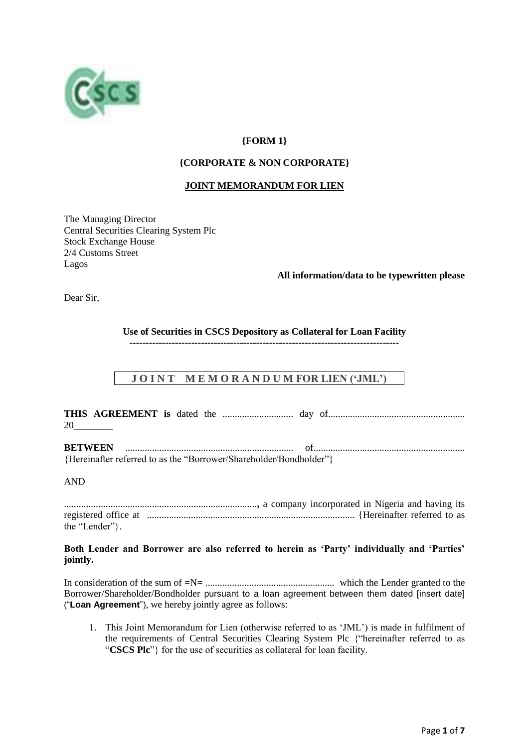

# **{FORM 1}**

# **{CORPORATE & NON CORPORATE}**

# **JOINT MEMORANDUM FOR LIEN**

The Managing Director Central Securities Clearing System Plc Stock Exchange House 2/4 Customs Street Lagos

# **All information/data to be typewritten please**

Dear Sir,

**Use of Securities in CSCS Depository as Collateral for Loan Facility**

**-----------------------------------------------------------------------------------**

# **J O I N T M E M O R A N D U M FOR LIEN ('JML')**

**THIS AGREEMENT is** dated the ............................. day of........................................................ 20\_\_\_\_\_\_\_\_

**BETWEEN** ..................................................................... of.............................................................. {Hereinafter referred to as the "Borrower/Shareholder/Bondholder"}

# AND

...............................................................................**,** a company incorporated in Nigeria and having its registered office at ..................................................................................... {Hereinafter referred to as the "Lender"}.

**Both Lender and Borrower are also referred to herein as 'Party' individually and 'Parties' jointly.**

In consideration of the sum of =N= ..................................................... which the Lender granted to the Borrower/Shareholder/Bondholder pursuant to a loan agreement between them dated [insert date] ("**Loan Agreement**"), we hereby jointly agree as follows:

1. This Joint Memorandum for Lien (otherwise referred to as 'JML') is made in fulfilment of the requirements of Central Securities Clearing System Plc {"hereinafter referred to as "**CSCS Plc**"} for the use of securities as collateral for loan facility.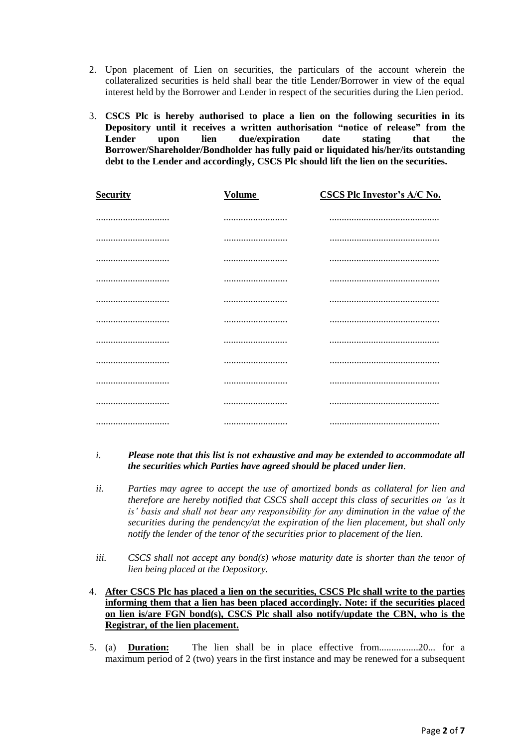- 2. Upon placement of Lien on securities, the particulars of the account wherein the collateralized securities is held shall bear the title Lender/Borrower in view of the equal interest held by the Borrower and Lender in respect of the securities during the Lien period.
- 3. **CSCS Plc is hereby authorised to place a lien on the following securities in its Depository until it receives a written authorisation "notice of release" from the Lender upon lien due/expiration date stating that the Borrower/Shareholder/Bondholder has fully paid or liquidated his/her/its outstanding debt to the Lender and accordingly, CSCS Plc should lift the lien on the securities.**

| <b>Security</b> | <b>Volume</b> | <b>CSCS Plc Investor's A/C No.</b> |
|-----------------|---------------|------------------------------------|
|                 |               |                                    |
|                 |               |                                    |
|                 |               |                                    |
|                 |               |                                    |
|                 |               |                                    |
|                 |               |                                    |
|                 |               |                                    |
|                 |               |                                    |
|                 |               |                                    |
|                 |               |                                    |
|                 |               |                                    |

# *i. Please note that this list is not exhaustive and may be extended to accommodate all the securities which Parties have agreed should be placed under lien*.

- *ii. Parties may agree to accept the use of amortized bonds as collateral for lien and therefore are hereby notified that CSCS shall accept this class of securities on 'as it is' basis and shall not bear any responsibility for any diminution in the value of the securities during the pendency/at the expiration of the lien placement, but shall only notify the lender of the tenor of the securities prior to placement of the lien.*
- *iii. CSCS shall not accept any bond(s) whose maturity date is shorter than the tenor of lien being placed at the Depository.*
- 4. **After CSCS Plc has placed a lien on the securities, CSCS Plc shall write to the parties informing them that a lien has been placed accordingly. Note: if the securities placed on lien is/are FGN bond(s), CSCS Plc shall also notify/update the CBN, who is the Registrar, of the lien placement.**
- 5. (a) **Duration:** The lien shall be in place effective from................20... for a maximum period of 2 (two) years in the first instance and may be renewed for a subsequent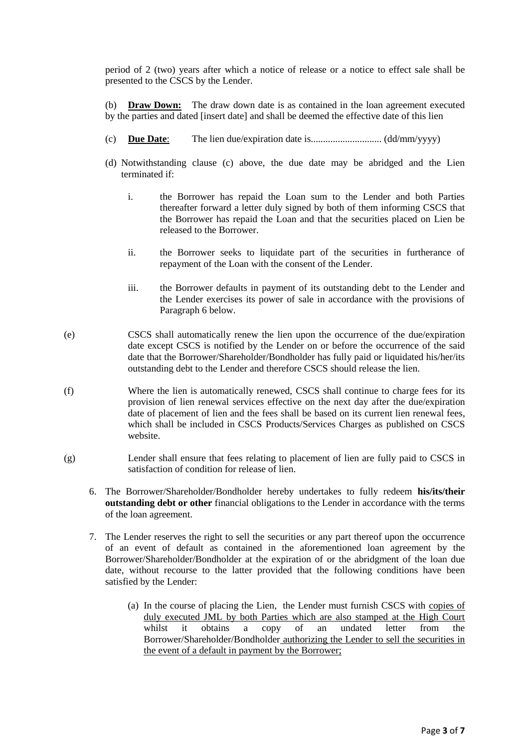period of 2 (two) years after which a notice of release or a notice to effect sale shall be presented to the CSCS by the Lender.

(b) **Draw Down:** The draw down date is as contained in the loan agreement executed by the parties and dated [insert date] and shall be deemed the effective date of this lien

- (c) **Due Date**: The lien due/expiration date is............................. (dd/mm/yyyy)
- (d) Notwithstanding clause (c) above, the due date may be abridged and the Lien terminated if:
	- i. the Borrower has repaid the Loan sum to the Lender and both Parties thereafter forward a letter duly signed by both of them informing CSCS that the Borrower has repaid the Loan and that the securities placed on Lien be released to the Borrower.
	- ii. the Borrower seeks to liquidate part of the securities in furtherance of repayment of the Loan with the consent of the Lender.
	- iii. the Borrower defaults in payment of its outstanding debt to the Lender and the Lender exercises its power of sale in accordance with the provisions of Paragraph 6 below.
- (e) CSCS shall automatically renew the lien upon the occurrence of the due/expiration date except CSCS is notified by the Lender on or before the occurrence of the said date that the Borrower/Shareholder/Bondholder has fully paid or liquidated his/her/its outstanding debt to the Lender and therefore CSCS should release the lien.
- (f) Where the lien is automatically renewed, CSCS shall continue to charge fees for its provision of lien renewal services effective on the next day after the due/expiration date of placement of lien and the fees shall be based on its current lien renewal fees, which shall be included in CSCS Products/Services Charges as published on CSCS website.
- (g) Lender shall ensure that fees relating to placement of lien are fully paid to CSCS in satisfaction of condition for release of lien.
	- 6. The Borrower/Shareholder/Bondholder hereby undertakes to fully redeem **his/its/their outstanding debt or other** financial obligations to the Lender in accordance with the terms of the loan agreement.
	- 7. The Lender reserves the right to sell the securities or any part thereof upon the occurrence of an event of default as contained in the aforementioned loan agreement by the Borrower/Shareholder/Bondholder at the expiration of or the abridgment of the loan due date, without recourse to the latter provided that the following conditions have been satisfied by the Lender:
		- (a) In the course of placing the Lien, the Lender must furnish CSCS with copies of duly executed JML by both Parties which are also stamped at the High Court whilst it obtains a copy of an undated letter from the Borrower/Shareholder/Bondholder authorizing the Lender to sell the securities in the event of a default in payment by the Borrower;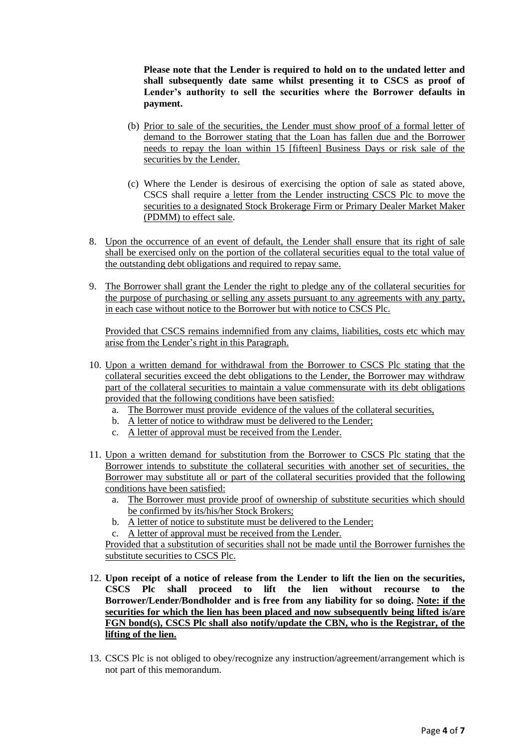**Please note that the Lender is required to hold on to the undated letter and shall subsequently date same whilst presenting it to CSCS as proof of Lender's authority to sell the securities where the Borrower defaults in payment.**

- (b) Prior to sale of the securities, the Lender must show proof of a formal letter of demand to the Borrower stating that the Loan has fallen due and the Borrower needs to repay the loan within 15 [fifteen] Business Days or risk sale of the securities by the Lender.
- (c) Where the Lender is desirous of exercising the option of sale as stated above, CSCS shall require a letter from the Lender instructing CSCS Plc to move the securities to a designated Stock Brokerage Firm or Primary Dealer Market Maker (PDMM) to effect sale.
- 8. Upon the occurrence of an event of default, the Lender shall ensure that its right of sale shall be exercised only on the portion of the collateral securities equal to the total value of the outstanding debt obligations and required to repay same.
- 9. The Borrower shall grant the Lender the right to pledge any of the collateral securities for the purpose of purchasing or selling any assets pursuant to any agreements with any party, in each case without notice to the Borrower but with notice to CSCS Plc.

Provided that CSCS remains indemnified from any claims, liabilities, costs etc which may arise from the Lender's right in this Paragraph.

- 10. Upon a written demand for withdrawal from the Borrower to CSCS Plc stating that the collateral securities exceed the debt obligations to the Lender, the Borrower may withdraw part of the collateral securities to maintain a value commensurate with its debt obligations provided that the following conditions have been satisfied:
	- a. The Borrower must provide evidence of the values of the collateral securities,
	- b. A letter of notice to withdraw must be delivered to the Lender;
	- c. A letter of approval must be received from the Lender.
- 11. Upon a written demand for substitution from the Borrower to CSCS Plc stating that the Borrower intends to substitute the collateral securities with another set of securities, the Borrower may substitute all or part of the collateral securities provided that the following conditions have been satisfied:
	- a. The Borrower must provide proof of ownership of substitute securities which should be confirmed by its/his/her Stock Brokers;
	- b. A letter of notice to substitute must be delivered to the Lender;
	- c. A letter of approval must be received from the Lender.

Provided that a substitution of securities shall not be made until the Borrower furnishes the substitute securities to CSCS Plc.

- 12. **Upon receipt of a notice of release from the Lender to lift the lien on the securities, CSCS Plc shall proceed to lift the lien without recourse to the Borrower/Lender/Bondholder and is free from any liability for so doing. Note: if the securities for which the lien has been placed and now subsequently being lifted is/are FGN bond(s), CSCS Plc shall also notify/update the CBN, who is the Registrar, of the lifting of the lien.**
- 13. CSCS Plc is not obliged to obey/recognize any instruction/agreement/arrangement which is not part of this memorandum.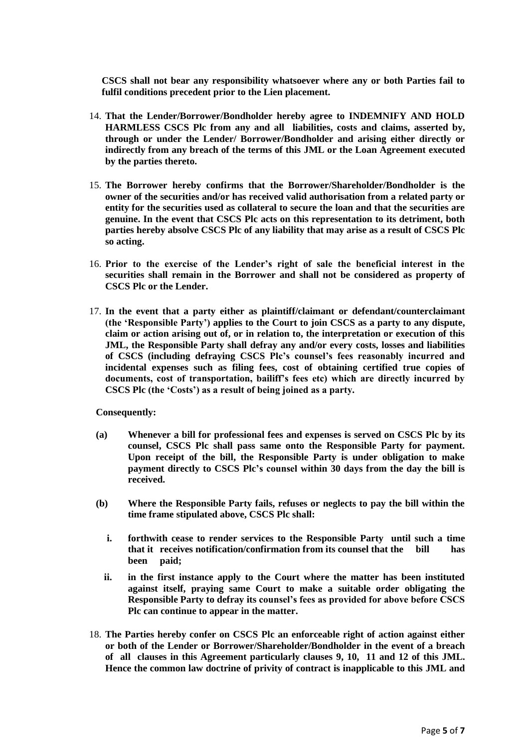**CSCS shall not bear any responsibility whatsoever where any or both Parties fail to fulfil conditions precedent prior to the Lien placement.** 

- 14. **That the Lender/Borrower/Bondholder hereby agree to INDEMNIFY AND HOLD HARMLESS CSCS Plc from any and all liabilities, costs and claims, asserted by, through or under the Lender/ Borrower/Bondholder and arising either directly or indirectly from any breach of the terms of this JML or the Loan Agreement executed by the parties thereto.**
- 15. **The Borrower hereby confirms that the Borrower/Shareholder/Bondholder is the owner of the securities and/or has received valid authorisation from a related party or entity for the securities used as collateral to secure the loan and that the securities are genuine. In the event that CSCS Plc acts on this representation to its detriment, both parties hereby absolve CSCS Plc of any liability that may arise as a result of CSCS Plc so acting.**
- 16. **Prior to the exercise of the Lender's right of sale the beneficial interest in the securities shall remain in the Borrower and shall not be considered as property of CSCS Plc or the Lender.**
- 17. **In the event that a party either as plaintiff/claimant or defendant/counterclaimant (the 'Responsible Party') applies to the Court to join CSCS as a party to any dispute, claim or action arising out of, or in relation to, the interpretation or execution of this JML, the Responsible Party shall defray any and/or every costs, losses and liabilities of CSCS (including defraying CSCS Plc's counsel's fees reasonably incurred and incidental expenses such as filing fees, cost of obtaining certified true copies of documents, cost of transportation, bailiff's fees etc) which are directly incurred by CSCS Plc (the 'Costs') as a result of being joined as a party.**

**Consequently:**

- **(a) Whenever a bill for professional fees and expenses is served on CSCS Plc by its counsel, CSCS Plc shall pass same onto the Responsible Party for payment. Upon receipt of the bill, the Responsible Party is under obligation to make payment directly to CSCS Plc's counsel within 30 days from the day the bill is received.**
- **(b) Where the Responsible Party fails, refuses or neglects to pay the bill within the time frame stipulated above, CSCS Plc shall:**
	- **i. forthwith cease to render services to the Responsible Party until such a time that it receives notification/confirmation from its counsel that the bill has been paid;**
	- **ii. in the first instance apply to the Court where the matter has been instituted against itself, praying same Court to make a suitable order obligating the Responsible Party to defray its counsel's fees as provided for above before CSCS Plc can continue to appear in the matter.**
- 18. **The Parties hereby confer on CSCS Plc an enforceable right of action against either or both of the Lender or Borrower/Shareholder/Bondholder in the event of a breach of all clauses in this Agreement particularly clauses 9, 10, 11 and 12 of this JML. Hence the common law doctrine of privity of contract is inapplicable to this JML and**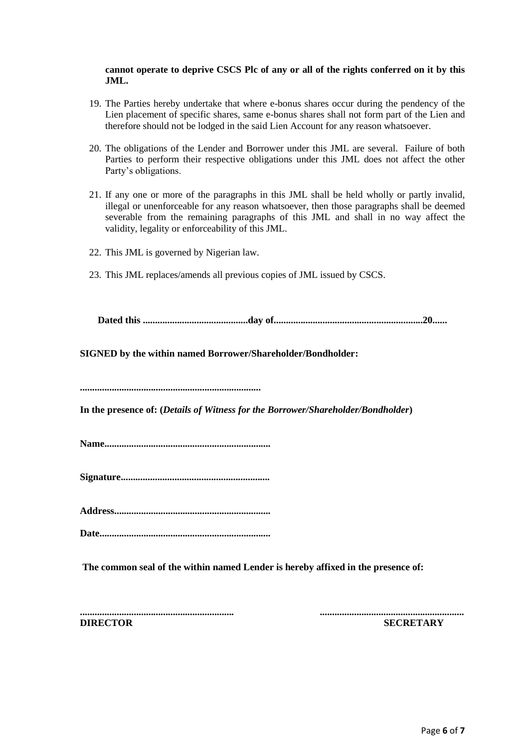#### **cannot operate to deprive CSCS Plc of any or all of the rights conferred on it by this JML.**

- 19. The Parties hereby undertake that where e-bonus shares occur during the pendency of the Lien placement of specific shares, same e-bonus shares shall not form part of the Lien and therefore should not be lodged in the said Lien Account for any reason whatsoever.
- 20. The obligations of the Lender and Borrower under this JML are several. Failure of both Parties to perform their respective obligations under this JML does not affect the other Party's obligations.
- 21. If any one or more of the paragraphs in this JML shall be held wholly or partly invalid, illegal or unenforceable for any reason whatsoever, then those paragraphs shall be deemed severable from the remaining paragraphs of this JML and shall in no way affect the validity, legality or enforceability of this JML.
- 22. This JML is governed by Nigerian law.
- 23. This JML replaces/amends all previous copies of JML issued by CSCS.

**Dated this ...........................................day of.............................................................20......**

**SIGNED by the within named Borrower/Shareholder/Bondholder:**

**..........................................................................**

**In the presence of: (***Details of Witness for the Borrower/Shareholder/Bondholder***)**

**Name....................................................................**

**Signature.............................................................**

**Address................................................................**

**Date......................................................................**

**The common seal of the within named Lender is hereby affixed in the presence of:**

**............................................................... ........................................................... DIRECTOR SECRETARY**